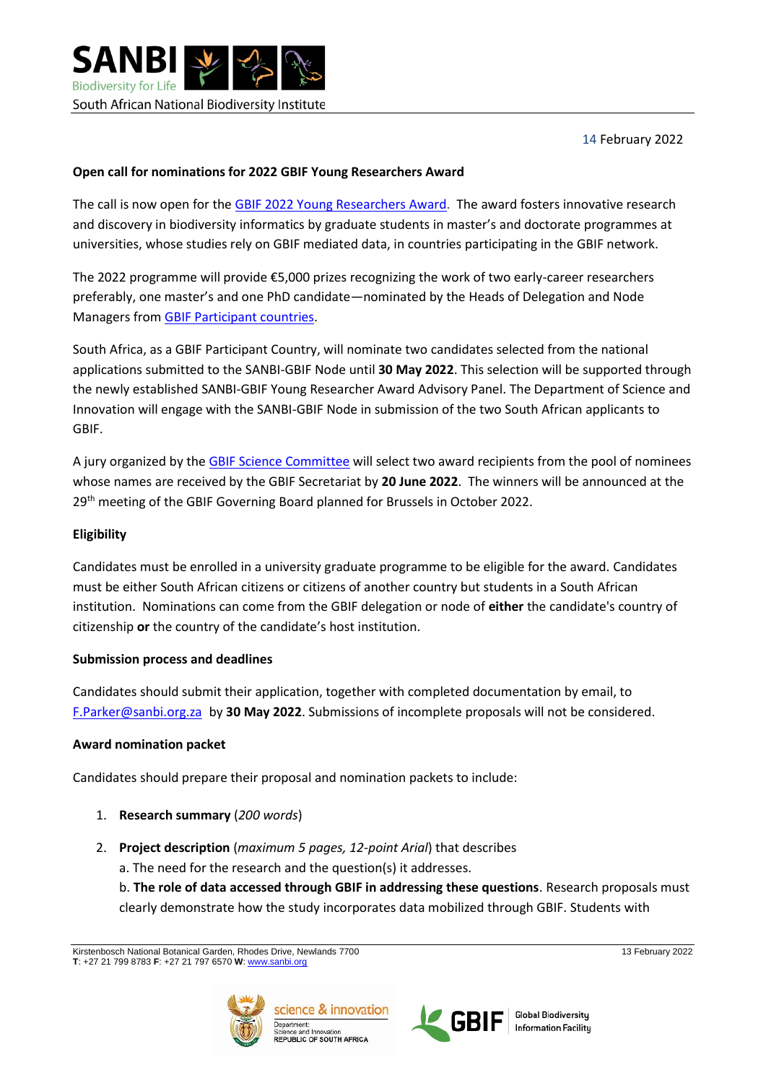**SANBI Biodiversity for Life** South African National Biodiversity Institute

14 February 2022

### **Open call for nominations for 2022 GBIF Young Researchers Award**

The call is now open for the GBIF 2022 [Young Researchers Award.](https://www.gbif.org/news/6PzaBymtwAEvbpXYtb4d1y/call-for-nominations-to-the-2022-gbif-young-researchers-award) The award fosters innovative research and discovery in biodiversity informatics by graduate students in master's and doctorate programmes at universities, whose studies rely on GBIF mediated data, in countries participating in the GBIF network.

The 2022 programme will provide €5,000 prizes recognizing the work of two early-career researchers preferably, one master's and one PhD candidate—nominated by the Heads of Delegation and Node Managers from GBIF [Participant countries.](https://www.gbif.org/the-gbif-network)

South Africa, as a GBIF Participant Country, will nominate two candidates selected from the national applications submitted to the SANBI-GBIF Node until **30 May 2022**. This selection will be supported through the newly established SANBI-GBIF Young Researcher Award Advisory Panel. The Department of Science and Innovation will engage with the SANBI-GBIF Node in submission of the two South African applicants to GBIF.

A jury organized by the [GBIF Science Committee](https://www.gbif.org/contact-us/directory?group=scienceCommittee) will select two award recipients from the pool of nominees whose names are received by the GBIF Secretariat by **20 June 2022**. The winners will be announced at the 29<sup>th</sup> meeting of the GBIF Governing Board planned for Brussels in October 2022.

### **Eligibility**

Candidates must be enrolled in a university graduate programme to be eligible for the award. Candidates must be either South African citizens or citizens of another country but students in a South African institution. Nominations can come from the GBIF delegation or node of **either** the candidate's country of citizenship **or** the country of the candidate's host institution.

#### **Submission process and deadlines**

Candidates should submit their application, together with completed documentation by email, to [F.Parker@sanbi.org.za](mailto:F.Parker@sanbi.org.za) by **30 May 2022**. Submissions of incomplete proposals will not be considered.

#### **Award nomination packet**

Candidates should prepare their proposal and nomination packets to include:

- 1. **Research summary** (*200 words*)
- 2. **Project description** (*maximum 5 pages, 12-point Arial*) that describes
	- a. The need for the research and the question(s) it addresses.

b. **The role of data accessed through GBIF in addressing these questions**. Research proposals must clearly demonstrate how the study incorporates data mobilized through GBIF. Students with







**Global Biodiversity Information Facility** 

Kirstenbosch National Botanical Garden, Rhodes Drive, Newlands 7700 13 February 2022 **T**: +27 21 799 8783 **F**: +27 21 797 6570 **W**: [www.sanbi.org](http://www.sanbi.org/)